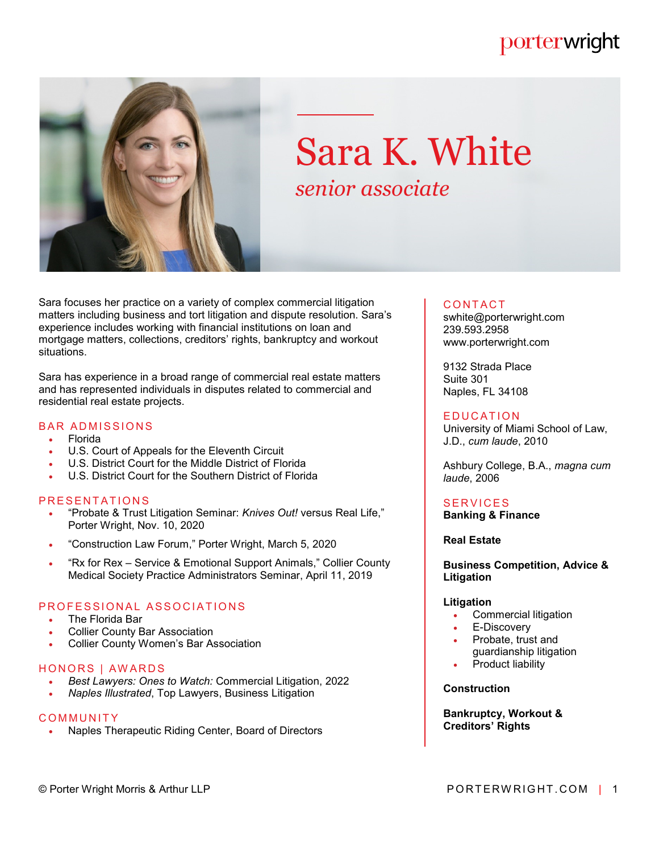### porterwright



# Sara K. White *senior associate*

Sara focuses her practice on a variety of complex commercial litigation matters including business and tort litigation and dispute resolution. Sara's experience includes working with financial institutions on loan and mortgage matters, collections, creditors' rights, bankruptcy and workout situations.

Sara has experience in a broad range of commercial real estate matters and has represented individuals in disputes related to commercial and residential real estate projects.

#### **BAR ADMISSIONS**

- Florida
- U.S. Court of Appeals for the Eleventh Circuit
- U.S. District Court for the Middle District of Florida
- U.S. District Court for the Southern District of Florida

#### **PRESENTATIONS**

- "Probate & Trust Litigation Seminar: *Knives Out!* versus Real Life," Porter Wright, Nov. 10, 2020
- "Construction Law Forum," Porter Wright, March 5, 2020
- . "Rx for Rex Service & Emotional Support Animals," Collier County Medical Society Practice Administrators Seminar, April 11, 2019

#### PROFESSIONAL ASSOCIATIONS

- The Florida Bar
- Collier County Bar Association
- Collier County Women's Bar Association

#### HONORS | AWARDS

- *Best Lawyers: Ones to Watch:* Commercial Litigation, 2022
- *Naples Illustrated*, Top Lawyers, Business Litigation

#### **COMMUNITY**

Naples Therapeutic Riding Center, Board of Directors

#### **CONTACT**

swhite@porterwright.com 239.593.2958 www.porterwright.com

9132 Strada Place Suite 301 Naples, FL 34108

#### **EDUCATION**

University of Miami School of Law, J.D., *cum laude*, 2010

Ashbury College, B.A., *magna cum laude*, 2006

#### **SERVICES**

**Banking & Finance**

#### **Real Estate**

**Business Competition, Advice & Litigation**

#### **Litigation**

- Commercial litigation
- E-Discovery
- Probate, trust and guardianship litigation
- Product liability

#### **Construction**

**Bankruptcy, Workout & Creditors' Rights**